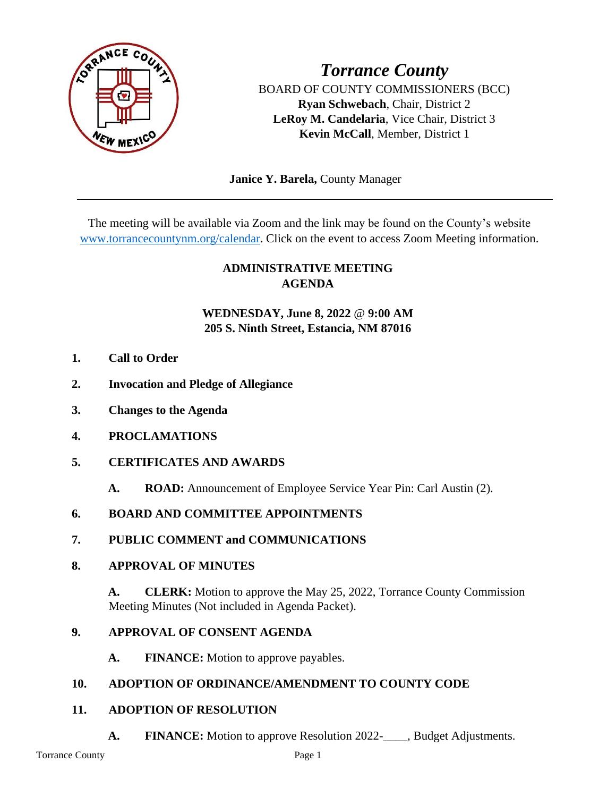

*Torrance County* BOARD OF COUNTY COMMISSIONERS (BCC) **Ryan Schwebach**, Chair, District 2 **LeRoy M. Candelaria**, Vice Chair, District 3 **Kevin McCall**, Member, District 1

 **Janice Y. Barela,** County Manager

The meeting will be available via Zoom and the link may be found on the County's website [www.torrancecountynm.org/calendar.](http://www.torrancecountynm.org/calendar) Click on the event to access Zoom Meeting information.

# **ADMINISTRATIVE MEETING AGENDA**

# **WEDNESDAY, June 8, 2022** @ **9:00 AM 205 S. Ninth Street, Estancia, NM 87016**

- **1. Call to Order**
- **2. Invocation and Pledge of Allegiance**
- **3. Changes to the Agenda**
- **4. PROCLAMATIONS**
- **5. CERTIFICATES AND AWARDS**
	- **A. ROAD:** Announcement of Employee Service Year Pin: Carl Austin (2).
- **6. BOARD AND COMMITTEE APPOINTMENTS**
- **7. PUBLIC COMMENT and COMMUNICATIONS**

### **8. APPROVAL OF MINUTES**

**A. CLERK:** Motion to approve the May 25, 2022, Torrance County Commission Meeting Minutes (Not included in Agenda Packet).

### **9. APPROVAL OF CONSENT AGENDA**

**A. FINANCE:** Motion to approve payables.

# **10. ADOPTION OF ORDINANCE/AMENDMENT TO COUNTY CODE**

### **11. ADOPTION OF RESOLUTION**

**A. FINANCE:** Motion to approve Resolution 2022-\_\_\_\_, Budget Adjustments.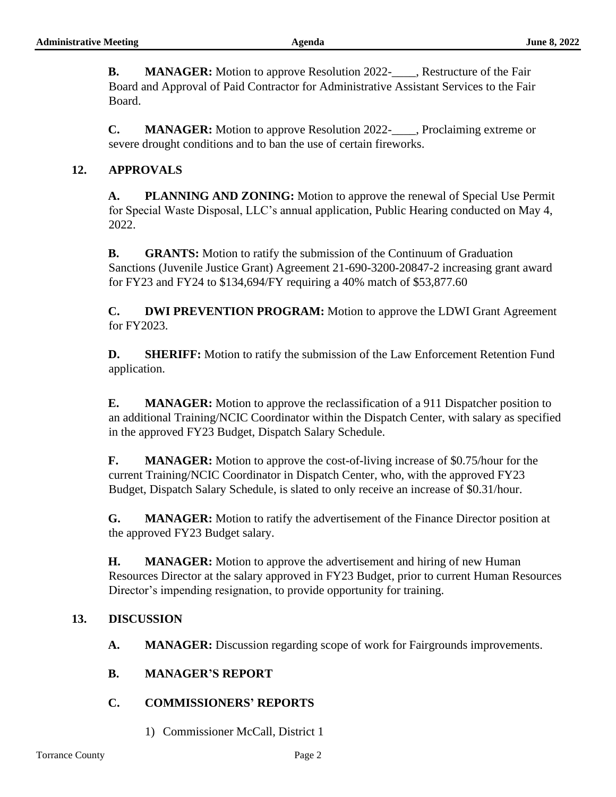**B. MANAGER:** Motion to approve Resolution 2022-\_\_\_\_, Restructure of the Fair Board and Approval of Paid Contractor for Administrative Assistant Services to the Fair Board.

**C. MANAGER:** Motion to approve Resolution 2022-\_\_\_\_, Proclaiming extreme or severe drought conditions and to ban the use of certain fireworks.

## **12. APPROVALS**

**A. PLANNING AND ZONING:** Motion to approve the renewal of Special Use Permit for Special Waste Disposal, LLC's annual application, Public Hearing conducted on May 4, 2022.

**B. GRANTS:** Motion to ratify the submission of the Continuum of Graduation Sanctions (Juvenile Justice Grant) Agreement 21-690-3200-20847-2 increasing grant award for FY23 and FY24 to \$134,694/FY requiring a 40% match of \$53,877.60

**C. DWI PREVENTION PROGRAM:** Motion to approve the LDWI Grant Agreement for FY2023.

**D. SHERIFF:** Motion to ratify the submission of the Law Enforcement Retention Fund application.

**E. MANAGER:** Motion to approve the reclassification of a 911 Dispatcher position to an additional Training/NCIC Coordinator within the Dispatch Center, with salary as specified in the approved FY23 Budget, Dispatch Salary Schedule.

**F. MANAGER:** Motion to approve the cost-of-living increase of \$0.75/hour for the current Training/NCIC Coordinator in Dispatch Center, who, with the approved FY23 Budget, Dispatch Salary Schedule, is slated to only receive an increase of \$0.31/hour.

**G. MANAGER:** Motion to ratify the advertisement of the Finance Director position at the approved FY23 Budget salary.

**H. MANAGER:** Motion to approve the advertisement and hiring of new Human Resources Director at the salary approved in FY23 Budget, prior to current Human Resources Director's impending resignation, to provide opportunity for training.

### **13. DISCUSSION**

**A. MANAGER:** Discussion regarding scope of work for Fairgrounds improvements.

### **B. MANAGER'S REPORT**

### **C. COMMISSIONERS' REPORTS**

1) Commissioner McCall, District 1